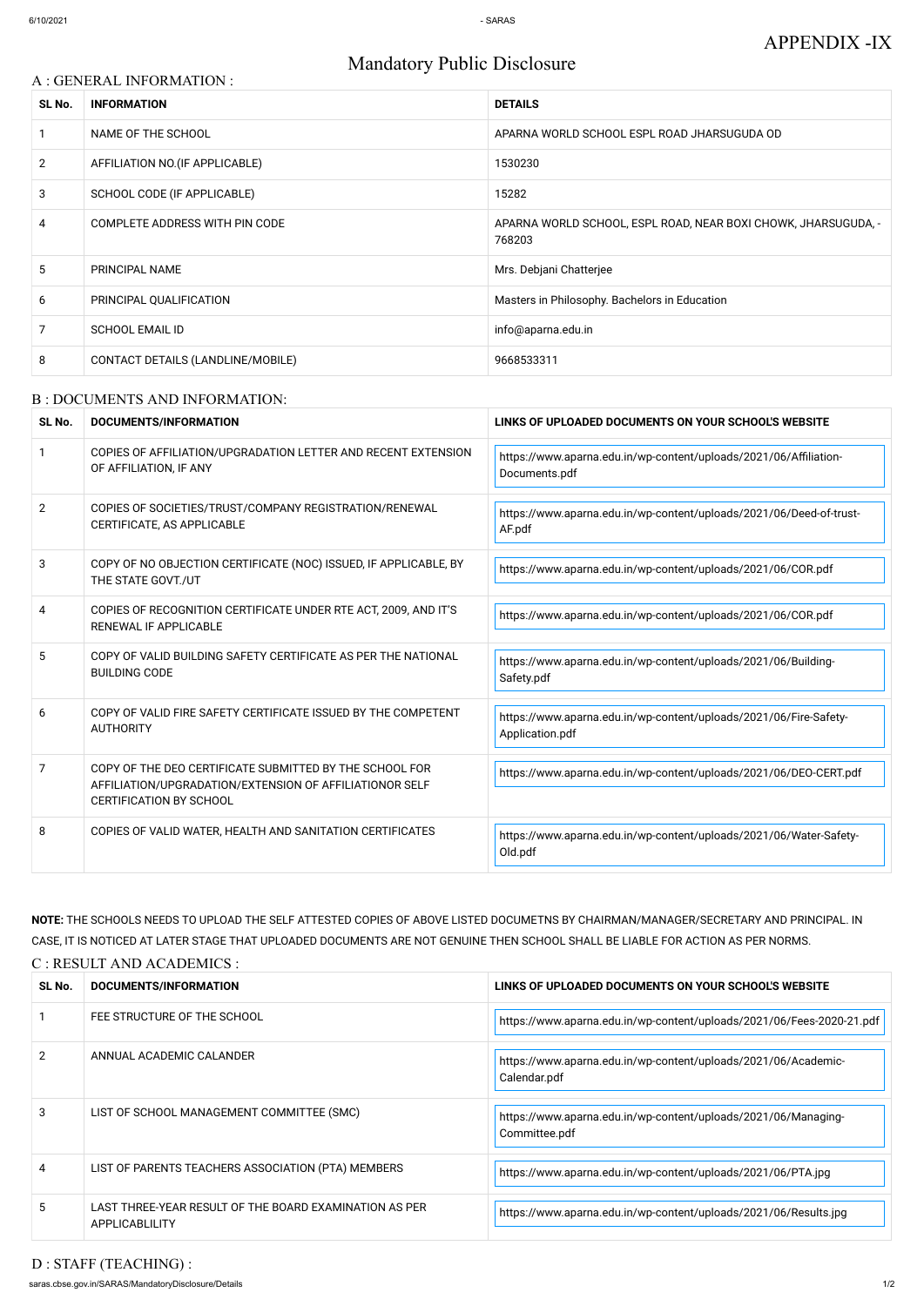# Mandatory Public Disclosure

### A : GENERAL INFORMATION :

| SL No.         | <b>INFORMATION</b>                | <b>DETAILS</b>                                                           |
|----------------|-----------------------------------|--------------------------------------------------------------------------|
|                | NAME OF THE SCHOOL                | APARNA WORLD SCHOOL ESPL ROAD JHARSUGUDA OD                              |
| $\overline{2}$ | AFFILIATION NO. (IF APPLICABLE)   | 1530230                                                                  |
| 3              | SCHOOL CODE (IF APPLICABLE)       | 15282                                                                    |
| 4              | COMPLETE ADDRESS WITH PIN CODE    | APARNA WORLD SCHOOL, ESPL ROAD, NEAR BOXI CHOWK, JHARSUGUDA, -<br>768203 |
| 5              | PRINCIPAL NAME                    | Mrs. Debjani Chatterjee                                                  |
| 6              | PRINCIPAL QUALIFICATION           | Masters in Philosophy. Bachelors in Education                            |
| 7              | <b>SCHOOL EMAIL ID</b>            | info@aparna.edu.in                                                       |
| 8              | CONTACT DETAILS (LANDLINE/MOBILE) | 9668533311                                                               |

### B : DOCUMENTS AND INFORMATION:

| SL No.         | <b>DOCUMENTS/INFORMATION</b>                                                                                                                         | LINKS OF UPLOADED DOCUMENTS ON YOUR SCHOOL'S WEBSITE                                 |
|----------------|------------------------------------------------------------------------------------------------------------------------------------------------------|--------------------------------------------------------------------------------------|
|                | COPIES OF AFFILIATION/UPGRADATION LETTER AND RECENT EXTENSION<br>OF AFFILIATION, IF ANY                                                              | https://www.aparna.edu.in/wp-content/uploads/2021/06/Affiliation-<br>Documents.pdf   |
| $\overline{2}$ | COPIES OF SOCIETIES/TRUST/COMPANY REGISTRATION/RENEWAL<br>CERTIFICATE, AS APPLICABLE                                                                 | https://www.aparna.edu.in/wp-content/uploads/2021/06/Deed-of-trust-<br>AF.pdf        |
| 3              | COPY OF NO OBJECTION CERTIFICATE (NOC) ISSUED, IF APPLICABLE, BY<br>THE STATE GOVT./UT                                                               | https://www.aparna.edu.in/wp-content/uploads/2021/06/COR.pdf                         |
| 4              | COPIES OF RECOGNITION CERTIFICATE UNDER RTE ACT, 2009, AND IT'S<br><b>RENEWAL IF APPLICABLE</b>                                                      | https://www.aparna.edu.in/wp-content/uploads/2021/06/COR.pdf                         |
| 5              | COPY OF VALID BUILDING SAFETY CERTIFICATE AS PER THE NATIONAL<br><b>BUILDING CODE</b>                                                                | https://www.aparna.edu.in/wp-content/uploads/2021/06/Building-<br>Safety.pdf         |
| 6              | COPY OF VALID FIRE SAFETY CERTIFICATE ISSUED BY THE COMPETENT<br><b>AUTHORITY</b>                                                                    | https://www.aparna.edu.in/wp-content/uploads/2021/06/Fire-Safety-<br>Application.pdf |
| 7              | COPY OF THE DEO CERTIFICATE SUBMITTED BY THE SCHOOL FOR<br>AFFILIATION/UPGRADATION/EXTENSION OF AFFILIATIONOR SELF<br><b>CERTIFICATION BY SCHOOL</b> | https://www.aparna.edu.in/wp-content/uploads/2021/06/DEO-CERT.pdf                    |
| 8              | COPIES OF VALID WATER, HEALTH AND SANITATION CERTIFICATES                                                                                            | https://www.aparna.edu.in/wp-content/uploads/2021/06/Water-Safety-<br>Old.pdf        |

**NOTE:** THE SCHOOLS NEEDS TO UPLOAD THE SELF ATTESTED COPIES OF ABOVE LISTED DOCUMETNS BY CHAIRMAN/MANAGER/SECRETARY AND PRINCIPAL. IN CASE, IT IS NOTICED AT LATER STAGE THAT UPLOADED DOCUMENTS ARE NOT GENUINE THEN SCHOOL SHALL BE LIABLE FOR ACTION AS PER NORMS. C : RESULT AND ACADEMICS :

| SL NO.         | DOCUMENTS/INFORMATION                                                    | LINKS OF UPLOADED DOCUMENTS ON YOUR SCHOOLS WEBSITE                             |
|----------------|--------------------------------------------------------------------------|---------------------------------------------------------------------------------|
|                | FEE STRUCTURE OF THE SCHOOL                                              | https://www.aparna.edu.in/wp-content/uploads/2021/06/Fees-2020-21.pdf           |
| $\overline{2}$ | ANNUAL ACADEMIC CALANDER                                                 | https://www.aparna.edu.in/wp-content/uploads/2021/06/Academic-<br>Calendar.pdf  |
| 3              | LIST OF SCHOOL MANAGEMENT COMMITTEE (SMC)                                | https://www.aparna.edu.in/wp-content/uploads/2021/06/Managing-<br>Committee.pdf |
| 4              | LIST OF PARENTS TEACHERS ASSOCIATION (PTA) MEMBERS                       | https://www.aparna.edu.in/wp-content/uploads/2021/06/PTA.jpg                    |
| 5              | LAST THREE-YEAR RESULT OF THE BOARD EXAMINATION AS PER<br>APPLICABLILITY | https://www.aparna.edu.in/wp-content/uploads/2021/06/Results.jpg                |

D : STAFF (TEACHING) :